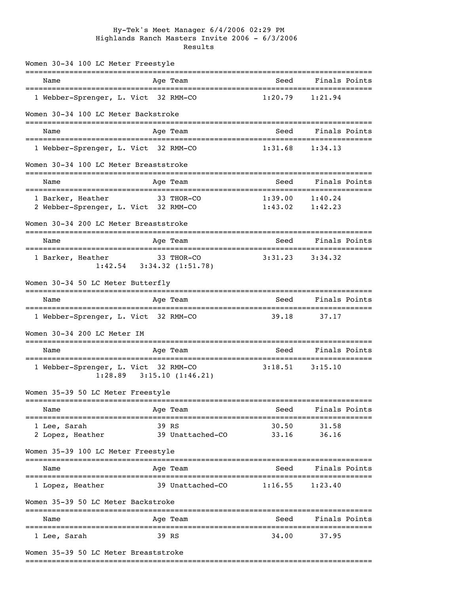## Hy-Tek's Meet Manager 6/4/2006 02:29 PM Highlands Ranch Masters Invite 2006 - 6/3/2006 Results

| Women 30-34 100 LC Meter Freestyle                        |                                               |                                |                            |
|-----------------------------------------------------------|-----------------------------------------------|--------------------------------|----------------------------|
| Name                                                      | Age Team                                      | Seed                           | Finals Points              |
| 1 Webber-Sprenger, L. Vict 32 RMM-CO                      |                                               | 1:20.79                        | 1:21.94                    |
| Women 30-34 100 LC Meter Backstroke                       |                                               |                                |                            |
| =============================<br>Name                     | Age Team                                      | Seed                           | Finals Points              |
| 1 Webber-Sprenger, L. Vict 32 RMM-CO                      |                                               |                                | $1:31.68$ $1:34.13$        |
| Women 30-34 100 LC Meter Breaststroke                     |                                               |                                |                            |
| Name                                                      | Age Team                                      | Seed                           | Finals Points              |
| 1 Barker, Heather<br>2 Webber-Sprenger, L. Vict 32 RMM-CO | 33 THOR-CO                                    | 1:39.00<br>$1:43.02$ $1:42.23$ | 1:40.24                    |
| Women 30-34 200 LC Meter Breaststroke                     |                                               |                                |                            |
| Name                                                      | Age Team                                      | Seed                           | Finals Points              |
| 1 Barker, Heather                                         | 33 THOR-CO<br>$1:42.54$ $3:34.32$ $(1:51.78)$ | 3:31.23                        | 3:34.32                    |
| Women 30-34 50 LC Meter Butterfly                         |                                               |                                |                            |
| Name                                                      | Age Team                                      | Seed                           | Finals Points              |
| 1 Webber-Sprenger, L. Vict 32 RMM-CO                      |                                               | 39.18                          | 37.17                      |
| Women 30-34 200 LC Meter IM                               |                                               |                                |                            |
| Name                                                      | Age Team                                      |                                | Seed Finals Points         |
| 1 Webber-Sprenger, L. Vict 32 RMM-CO<br>1:28.89           | 3:15.10(1:46.21)                              | $3:18.51$ $3:15.10$            |                            |
| Women 35-39 50 LC Meter Freestyle                         |                                               |                                |                            |
| Name                                                      | Age Team                                      |                                | Seed Finals Points         |
| 1 Lee, Sarah<br>2 Lopez, Heather                          | 39 RS<br>39 Unattached-CO                     |                                | 30.50 31.58<br>33.16 36.16 |
| Women 35-39 100 LC Meter Freestyle                        |                                               |                                |                            |
| Name                                                      | Age Team                                      | Seed                           | Finals Points              |
| 1 Lopez, Heather                                          | 39 Unattached-CO 1:16.55                      |                                | 1:23.40                    |
| Women 35-39 50 LC Meter Backstroke                        |                                               |                                |                            |
| Name                                                      | Age Team                                      | Seed                           | Finals Points              |
| 1 Lee, Sarah                                              | 39 RS                                         | 34.00                          | 37.95                      |
| Women 35-39 50 LC Meter Breaststroke                      |                                               |                                |                            |

===============================================================================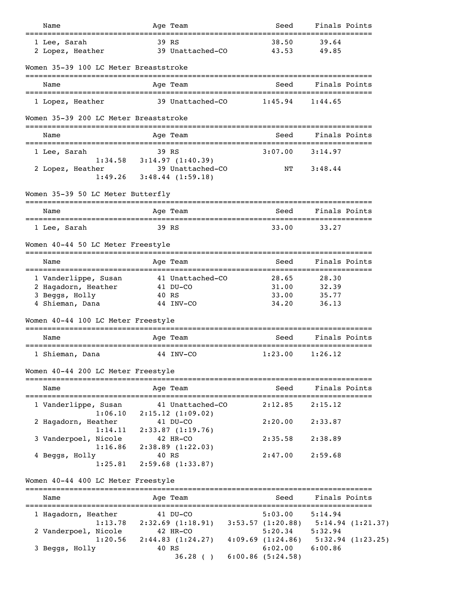| 39 RS<br>38.50<br>39.64<br>1 Lee, Sarah<br>39 Unattached-CO<br>43.53<br>2 Lopez, Heather<br>49.85<br>Women 35-39 100 LC Meter Breaststroke<br>Age Team<br>Seed<br>Finals Points<br>Name<br>39 Unattached-CO<br>1 Lopez, Heather<br>1:45.94<br>1:44.65<br>Women 35-39 200 LC Meter Breaststroke<br>Finals Points<br>Name<br>Age Team<br>Seed<br>39 RS<br>3:07.00<br>1 Lee, Sarah<br>3:14.97<br>$1:34.58$ $3:14.97$ $(1:40.39)$<br>39 Unattached-CO<br>ΝT<br>3:48.44<br>2 Lopez, Heather<br>1:49.26<br>$3:48.44$ $(1:59.18)$<br>Women 35-39 50 LC Meter Butterfly<br>Finals Points<br>Age Team<br>Seed<br>Name<br>39 RS<br>33.00<br>33.27<br>1 Lee, Sarah<br>Women 40-44 50 LC Meter Freestyle<br>Finals Points<br>Age Team<br>Seed<br>Name<br>1 Vanderlippe, Susan<br>41 Unattached-CO<br>28.65<br>28.30<br>2 Hagadorn, Heather<br>31.00<br>32.39<br>41 DU-CO<br>3 Beggs, Holly<br>35.77<br>40 RS<br>33.00<br>4 Shieman, Dana<br>44 INV-CO<br>34.20<br>36.13<br>Women 40-44 100 LC Meter Freestyle<br>Finals Points<br>Seed<br>Name<br>Age Team<br>1 Shieman, Dana<br>44 INV-CO<br>1:23.00<br>1:26.12<br>Women 40-44 200 LC Meter Freestyle<br>Finals Points<br>Name<br>Seed<br>Age Team<br>1 Vanderlippe, Susan<br>41 Unattached-CO<br>2:12.85<br>2:15.12<br>1:06.10<br>2:15.12(1:09.02)<br>2:20.00<br>2:33.87<br>2 Hagadorn, Heather<br>41 DU-CO<br>2:33.87(1:19.76)<br>1:14.11<br>42 HR-CO<br>2:38.89<br>3 Vanderpoel, Nicole<br>2:35.58<br>1:16.86<br>2:38.89(1:22.03)<br>2:59.68<br>4 Beggs, Holly<br>40 RS<br>2:47.00<br>2:59.68(1:33.87)<br>1:25.81<br>Women 40-44 400 LC Meter Freestyle<br>Finals Points<br>Name<br>Age Team<br>Seed<br>1 Hagadorn, Heather<br>41 DU-CO<br>5:03.00<br>5:14.94<br>1:13.78<br>$2:32.69$ (1:18.91) 3:53.57 (1:20.88) 5:14.94 (1:21.37)<br>$5:20.34$ $5:32.94$<br>2 Vanderpoel, Nicole<br>42 HR-CO<br>$4:09.69$ $(1:24.86)$ $5:32.94$ $(1:23.25)$<br>1:20.56<br>2:44.83(1:24.27)<br>6:02.00<br>6:00.86<br>3 Beggs, Holly<br>40 RS<br>$6:00.86$ $(5:24.58)$<br>36.28() | Name | Age Team | Seed | Finals Points |  |
|-----------------------------------------------------------------------------------------------------------------------------------------------------------------------------------------------------------------------------------------------------------------------------------------------------------------------------------------------------------------------------------------------------------------------------------------------------------------------------------------------------------------------------------------------------------------------------------------------------------------------------------------------------------------------------------------------------------------------------------------------------------------------------------------------------------------------------------------------------------------------------------------------------------------------------------------------------------------------------------------------------------------------------------------------------------------------------------------------------------------------------------------------------------------------------------------------------------------------------------------------------------------------------------------------------------------------------------------------------------------------------------------------------------------------------------------------------------------------------------------------------------------------------------------------------------------------------------------------------------------------------------------------------------------------------------------------------------------------------------------------------------------------------------------------------------------------------------------------------------------------------------------------------------------------------------------------------------------------------------------------------------|------|----------|------|---------------|--|
|                                                                                                                                                                                                                                                                                                                                                                                                                                                                                                                                                                                                                                                                                                                                                                                                                                                                                                                                                                                                                                                                                                                                                                                                                                                                                                                                                                                                                                                                                                                                                                                                                                                                                                                                                                                                                                                                                                                                                                                                           |      |          |      |               |  |
|                                                                                                                                                                                                                                                                                                                                                                                                                                                                                                                                                                                                                                                                                                                                                                                                                                                                                                                                                                                                                                                                                                                                                                                                                                                                                                                                                                                                                                                                                                                                                                                                                                                                                                                                                                                                                                                                                                                                                                                                           |      |          |      |               |  |
|                                                                                                                                                                                                                                                                                                                                                                                                                                                                                                                                                                                                                                                                                                                                                                                                                                                                                                                                                                                                                                                                                                                                                                                                                                                                                                                                                                                                                                                                                                                                                                                                                                                                                                                                                                                                                                                                                                                                                                                                           |      |          |      |               |  |
|                                                                                                                                                                                                                                                                                                                                                                                                                                                                                                                                                                                                                                                                                                                                                                                                                                                                                                                                                                                                                                                                                                                                                                                                                                                                                                                                                                                                                                                                                                                                                                                                                                                                                                                                                                                                                                                                                                                                                                                                           |      |          |      |               |  |
|                                                                                                                                                                                                                                                                                                                                                                                                                                                                                                                                                                                                                                                                                                                                                                                                                                                                                                                                                                                                                                                                                                                                                                                                                                                                                                                                                                                                                                                                                                                                                                                                                                                                                                                                                                                                                                                                                                                                                                                                           |      |          |      |               |  |
|                                                                                                                                                                                                                                                                                                                                                                                                                                                                                                                                                                                                                                                                                                                                                                                                                                                                                                                                                                                                                                                                                                                                                                                                                                                                                                                                                                                                                                                                                                                                                                                                                                                                                                                                                                                                                                                                                                                                                                                                           |      |          |      |               |  |
|                                                                                                                                                                                                                                                                                                                                                                                                                                                                                                                                                                                                                                                                                                                                                                                                                                                                                                                                                                                                                                                                                                                                                                                                                                                                                                                                                                                                                                                                                                                                                                                                                                                                                                                                                                                                                                                                                                                                                                                                           |      |          |      |               |  |
|                                                                                                                                                                                                                                                                                                                                                                                                                                                                                                                                                                                                                                                                                                                                                                                                                                                                                                                                                                                                                                                                                                                                                                                                                                                                                                                                                                                                                                                                                                                                                                                                                                                                                                                                                                                                                                                                                                                                                                                                           |      |          |      |               |  |
|                                                                                                                                                                                                                                                                                                                                                                                                                                                                                                                                                                                                                                                                                                                                                                                                                                                                                                                                                                                                                                                                                                                                                                                                                                                                                                                                                                                                                                                                                                                                                                                                                                                                                                                                                                                                                                                                                                                                                                                                           |      |          |      |               |  |
|                                                                                                                                                                                                                                                                                                                                                                                                                                                                                                                                                                                                                                                                                                                                                                                                                                                                                                                                                                                                                                                                                                                                                                                                                                                                                                                                                                                                                                                                                                                                                                                                                                                                                                                                                                                                                                                                                                                                                                                                           |      |          |      |               |  |
|                                                                                                                                                                                                                                                                                                                                                                                                                                                                                                                                                                                                                                                                                                                                                                                                                                                                                                                                                                                                                                                                                                                                                                                                                                                                                                                                                                                                                                                                                                                                                                                                                                                                                                                                                                                                                                                                                                                                                                                                           |      |          |      |               |  |
|                                                                                                                                                                                                                                                                                                                                                                                                                                                                                                                                                                                                                                                                                                                                                                                                                                                                                                                                                                                                                                                                                                                                                                                                                                                                                                                                                                                                                                                                                                                                                                                                                                                                                                                                                                                                                                                                                                                                                                                                           |      |          |      |               |  |
|                                                                                                                                                                                                                                                                                                                                                                                                                                                                                                                                                                                                                                                                                                                                                                                                                                                                                                                                                                                                                                                                                                                                                                                                                                                                                                                                                                                                                                                                                                                                                                                                                                                                                                                                                                                                                                                                                                                                                                                                           |      |          |      |               |  |
|                                                                                                                                                                                                                                                                                                                                                                                                                                                                                                                                                                                                                                                                                                                                                                                                                                                                                                                                                                                                                                                                                                                                                                                                                                                                                                                                                                                                                                                                                                                                                                                                                                                                                                                                                                                                                                                                                                                                                                                                           |      |          |      |               |  |
|                                                                                                                                                                                                                                                                                                                                                                                                                                                                                                                                                                                                                                                                                                                                                                                                                                                                                                                                                                                                                                                                                                                                                                                                                                                                                                                                                                                                                                                                                                                                                                                                                                                                                                                                                                                                                                                                                                                                                                                                           |      |          |      |               |  |
|                                                                                                                                                                                                                                                                                                                                                                                                                                                                                                                                                                                                                                                                                                                                                                                                                                                                                                                                                                                                                                                                                                                                                                                                                                                                                                                                                                                                                                                                                                                                                                                                                                                                                                                                                                                                                                                                                                                                                                                                           |      |          |      |               |  |
|                                                                                                                                                                                                                                                                                                                                                                                                                                                                                                                                                                                                                                                                                                                                                                                                                                                                                                                                                                                                                                                                                                                                                                                                                                                                                                                                                                                                                                                                                                                                                                                                                                                                                                                                                                                                                                                                                                                                                                                                           |      |          |      |               |  |
|                                                                                                                                                                                                                                                                                                                                                                                                                                                                                                                                                                                                                                                                                                                                                                                                                                                                                                                                                                                                                                                                                                                                                                                                                                                                                                                                                                                                                                                                                                                                                                                                                                                                                                                                                                                                                                                                                                                                                                                                           |      |          |      |               |  |
|                                                                                                                                                                                                                                                                                                                                                                                                                                                                                                                                                                                                                                                                                                                                                                                                                                                                                                                                                                                                                                                                                                                                                                                                                                                                                                                                                                                                                                                                                                                                                                                                                                                                                                                                                                                                                                                                                                                                                                                                           |      |          |      |               |  |
|                                                                                                                                                                                                                                                                                                                                                                                                                                                                                                                                                                                                                                                                                                                                                                                                                                                                                                                                                                                                                                                                                                                                                                                                                                                                                                                                                                                                                                                                                                                                                                                                                                                                                                                                                                                                                                                                                                                                                                                                           |      |          |      |               |  |
|                                                                                                                                                                                                                                                                                                                                                                                                                                                                                                                                                                                                                                                                                                                                                                                                                                                                                                                                                                                                                                                                                                                                                                                                                                                                                                                                                                                                                                                                                                                                                                                                                                                                                                                                                                                                                                                                                                                                                                                                           |      |          |      |               |  |
|                                                                                                                                                                                                                                                                                                                                                                                                                                                                                                                                                                                                                                                                                                                                                                                                                                                                                                                                                                                                                                                                                                                                                                                                                                                                                                                                                                                                                                                                                                                                                                                                                                                                                                                                                                                                                                                                                                                                                                                                           |      |          |      |               |  |
|                                                                                                                                                                                                                                                                                                                                                                                                                                                                                                                                                                                                                                                                                                                                                                                                                                                                                                                                                                                                                                                                                                                                                                                                                                                                                                                                                                                                                                                                                                                                                                                                                                                                                                                                                                                                                                                                                                                                                                                                           |      |          |      |               |  |
|                                                                                                                                                                                                                                                                                                                                                                                                                                                                                                                                                                                                                                                                                                                                                                                                                                                                                                                                                                                                                                                                                                                                                                                                                                                                                                                                                                                                                                                                                                                                                                                                                                                                                                                                                                                                                                                                                                                                                                                                           |      |          |      |               |  |
|                                                                                                                                                                                                                                                                                                                                                                                                                                                                                                                                                                                                                                                                                                                                                                                                                                                                                                                                                                                                                                                                                                                                                                                                                                                                                                                                                                                                                                                                                                                                                                                                                                                                                                                                                                                                                                                                                                                                                                                                           |      |          |      |               |  |
|                                                                                                                                                                                                                                                                                                                                                                                                                                                                                                                                                                                                                                                                                                                                                                                                                                                                                                                                                                                                                                                                                                                                                                                                                                                                                                                                                                                                                                                                                                                                                                                                                                                                                                                                                                                                                                                                                                                                                                                                           |      |          |      |               |  |
|                                                                                                                                                                                                                                                                                                                                                                                                                                                                                                                                                                                                                                                                                                                                                                                                                                                                                                                                                                                                                                                                                                                                                                                                                                                                                                                                                                                                                                                                                                                                                                                                                                                                                                                                                                                                                                                                                                                                                                                                           |      |          |      |               |  |
|                                                                                                                                                                                                                                                                                                                                                                                                                                                                                                                                                                                                                                                                                                                                                                                                                                                                                                                                                                                                                                                                                                                                                                                                                                                                                                                                                                                                                                                                                                                                                                                                                                                                                                                                                                                                                                                                                                                                                                                                           |      |          |      |               |  |
|                                                                                                                                                                                                                                                                                                                                                                                                                                                                                                                                                                                                                                                                                                                                                                                                                                                                                                                                                                                                                                                                                                                                                                                                                                                                                                                                                                                                                                                                                                                                                                                                                                                                                                                                                                                                                                                                                                                                                                                                           |      |          |      |               |  |
|                                                                                                                                                                                                                                                                                                                                                                                                                                                                                                                                                                                                                                                                                                                                                                                                                                                                                                                                                                                                                                                                                                                                                                                                                                                                                                                                                                                                                                                                                                                                                                                                                                                                                                                                                                                                                                                                                                                                                                                                           |      |          |      |               |  |
|                                                                                                                                                                                                                                                                                                                                                                                                                                                                                                                                                                                                                                                                                                                                                                                                                                                                                                                                                                                                                                                                                                                                                                                                                                                                                                                                                                                                                                                                                                                                                                                                                                                                                                                                                                                                                                                                                                                                                                                                           |      |          |      |               |  |
|                                                                                                                                                                                                                                                                                                                                                                                                                                                                                                                                                                                                                                                                                                                                                                                                                                                                                                                                                                                                                                                                                                                                                                                                                                                                                                                                                                                                                                                                                                                                                                                                                                                                                                                                                                                                                                                                                                                                                                                                           |      |          |      |               |  |
|                                                                                                                                                                                                                                                                                                                                                                                                                                                                                                                                                                                                                                                                                                                                                                                                                                                                                                                                                                                                                                                                                                                                                                                                                                                                                                                                                                                                                                                                                                                                                                                                                                                                                                                                                                                                                                                                                                                                                                                                           |      |          |      |               |  |
|                                                                                                                                                                                                                                                                                                                                                                                                                                                                                                                                                                                                                                                                                                                                                                                                                                                                                                                                                                                                                                                                                                                                                                                                                                                                                                                                                                                                                                                                                                                                                                                                                                                                                                                                                                                                                                                                                                                                                                                                           |      |          |      |               |  |
|                                                                                                                                                                                                                                                                                                                                                                                                                                                                                                                                                                                                                                                                                                                                                                                                                                                                                                                                                                                                                                                                                                                                                                                                                                                                                                                                                                                                                                                                                                                                                                                                                                                                                                                                                                                                                                                                                                                                                                                                           |      |          |      |               |  |
|                                                                                                                                                                                                                                                                                                                                                                                                                                                                                                                                                                                                                                                                                                                                                                                                                                                                                                                                                                                                                                                                                                                                                                                                                                                                                                                                                                                                                                                                                                                                                                                                                                                                                                                                                                                                                                                                                                                                                                                                           |      |          |      |               |  |
|                                                                                                                                                                                                                                                                                                                                                                                                                                                                                                                                                                                                                                                                                                                                                                                                                                                                                                                                                                                                                                                                                                                                                                                                                                                                                                                                                                                                                                                                                                                                                                                                                                                                                                                                                                                                                                                                                                                                                                                                           |      |          |      |               |  |
|                                                                                                                                                                                                                                                                                                                                                                                                                                                                                                                                                                                                                                                                                                                                                                                                                                                                                                                                                                                                                                                                                                                                                                                                                                                                                                                                                                                                                                                                                                                                                                                                                                                                                                                                                                                                                                                                                                                                                                                                           |      |          |      |               |  |
|                                                                                                                                                                                                                                                                                                                                                                                                                                                                                                                                                                                                                                                                                                                                                                                                                                                                                                                                                                                                                                                                                                                                                                                                                                                                                                                                                                                                                                                                                                                                                                                                                                                                                                                                                                                                                                                                                                                                                                                                           |      |          |      |               |  |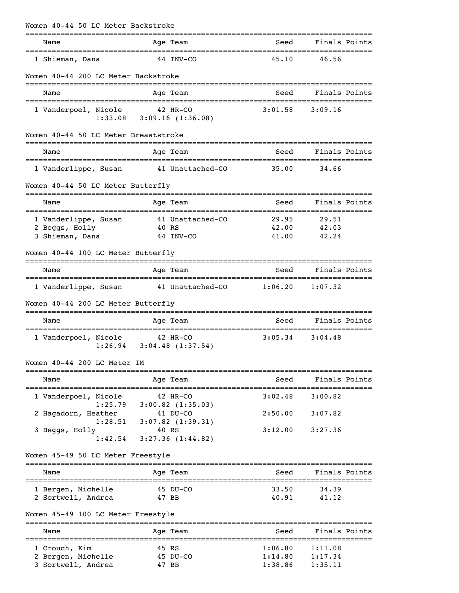|                | Women 40-44 50 LC Meter Backstroke                                           |             |                                                    |                                                         |                                                   |               |
|----------------|------------------------------------------------------------------------------|-------------|----------------------------------------------------|---------------------------------------------------------|---------------------------------------------------|---------------|
| Name           |                                                                              |             | Age Team                                           | Seed                                                    |                                                   | Finals Points |
|                | 1 Shieman, Dana                                                              |             | 44 INV-CO                                          | 45.10                                                   | 46.56                                             |               |
|                | Women 40-44 200 LC Meter Backstroke                                          |             |                                                    |                                                         |                                                   |               |
| Name           | ============================                                                 |             | ___________________________________<br>Age Team    | Seed                                                    | Finals Points                                     |               |
|                | 1 Vanderpoel, Nicole<br>1:33.08                                              | =========== | 42 HR-CO<br>3:09.16(1:36.08)                       | 3:01.58                                                 | 3:09.16                                           |               |
|                | Women 40-44 50 LC Meter Breaststroke                                         |             |                                                    |                                                         |                                                   |               |
| Name           |                                                                              |             | Age Team                                           | Seed                                                    |                                                   | Finals Points |
|                | 1 Vanderlippe, Susan                                                         |             | 41 Unattached-CO                                   | 35.00                                                   | 34.66                                             |               |
|                | Women 40-44 50 LC Meter Butterfly                                            |             |                                                    |                                                         |                                                   |               |
| Name           |                                                                              |             | --------------<br>Age Team                         | Seed                                                    |                                                   | Finals Points |
|                | ____________________________<br>1 Vanderlippe, Susan                         |             | _________________________<br>41 Unattached-CO      | 29.95                                                   | ===========================<br>29.51              |               |
| 2 Beggs, Holly | 3 Shieman, Dana                                                              |             | 40 RS<br>44 INV-CO                                 | 42.00<br>41.00                                          | 42.03<br>42.24                                    |               |
|                | Women 40-44 100 LC Meter Butterfly                                           |             |                                                    |                                                         |                                                   |               |
| Name           |                                                                              |             | Age Team                                           | Seed                                                    |                                                   | Finals Points |
|                | 1 Vanderlippe, Susan                                                         |             | 41 Unattached-CO                                   | 1:06.20                                                 | 1:07.32                                           |               |
|                | Women 40-44 200 LC Meter Butterfly                                           |             |                                                    |                                                         |                                                   |               |
| Name           |                                                                              |             | Age Team                                           | Seed                                                    | Finals Points                                     |               |
|                | 1 Vanderpoel, Nicole<br>1:26.94                                              |             | 42 HR-CO<br>3:04.48(1:37.54)                       | 3:05.34                                                 | 3:04.48                                           |               |
|                | Women 40-44 200 LC Meter IM                                                  |             |                                                    |                                                         |                                                   |               |
| Name           |                                                                              |             | Age Team                                           | Seed                                                    |                                                   | Finals Points |
|                | 1 Vanderpoel, Nicole                                                         |             | 42 HR-CO                                           | 3:02.48                                                 | 3:00.82                                           |               |
|                | 1:25.79<br>2 Hagadorn, Heather                                               |             | $3:00.82$ $(1:35.03)$<br>41 DU-CO                  | 2:50.00                                                 | 3:07.82                                           |               |
| 3 Beggs, Holly | 1:28.51<br>1:42.54                                                           |             | $3:07.82$ $(1:39.31)$<br>40 RS<br>3:27.36(1:44.82) | 3:12.00                                                 | 3:27.36                                           |               |
|                | Women 45-49 50 LC Meter Freestyle                                            |             |                                                    |                                                         |                                                   |               |
| Name           |                                                                              |             | Age Team                                           | Seed                                                    |                                                   | Finals Points |
|                |                                                                              |             |                                                    |                                                         |                                                   |               |
|                | 1 Bergen, Michelle<br>2 Sortwell, Andrea                                     |             | 45 DU-CO<br>47 BB                                  | 33.50<br>40.91                                          | 34.39<br>41.12                                    |               |
|                | Women 45-49 100 LC Meter Freestyle                                           |             |                                                    |                                                         |                                                   |               |
| Name           |                                                                              |             | Age Team                                           | Seed                                                    |                                                   | Finals Points |
| 1 Crouch, Kim  | ================================<br>2 Bergen, Michelle<br>3 Sortwell, Andrea |             | 45 RS<br>45 DU-CO<br>47 BB                         | ;=====================<br>1:06.80<br>1:14.80<br>1:38.86 | :===============<br>1:11.08<br>1:17.34<br>1:35.11 |               |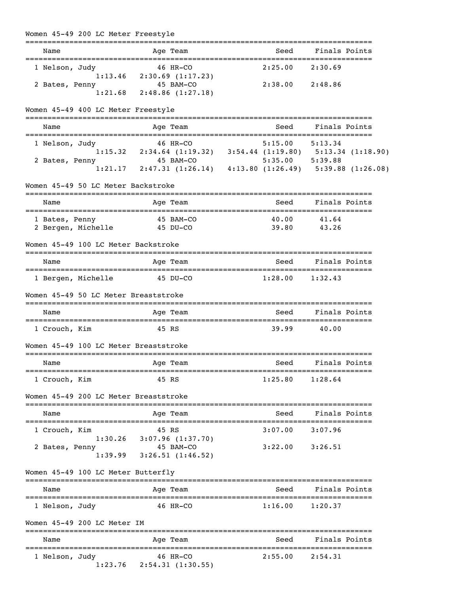| Women 45-49 200 LC Meter Freestyle  |         |                                                                                                                                                                   |  |                     |                      |  |
|-------------------------------------|---------|-------------------------------------------------------------------------------------------------------------------------------------------------------------------|--|---------------------|----------------------|--|
| Name                                |         | Age Team                                                                                                                                                          |  | Seed                | Finals Points        |  |
| 1 Nelson, Judy                      |         | 46 HR-CO<br>$1:13.46$ $2:30.69$ $(1:17.23)$                                                                                                                       |  | 2:25.00             | 2:30.69              |  |
| 2 Bates, Penny                      | 1:21.68 | 45 BAM-CO<br>2:48.86(1:27.18)                                                                                                                                     |  | 2:38.00 2:48.86     |                      |  |
| Women 45-49 400 LC Meter Freestyle  |         |                                                                                                                                                                   |  |                     |                      |  |
| Name                                |         | Age Team                                                                                                                                                          |  | Seed                | Finals Points        |  |
| 1 Nelson, Judy<br>2 Bates, Penny    |         | $1:15.32$ 2:34.64 (1:19.32) 3:54.44 (1:19.80) 5:13.34 (1:18.90)<br>$45$ RAM-CO 5:35.00 5:39.88<br>$1:21.17$ 2:47.31 (1:26.14) 4:13.80 (1:26.49) 5:39.88 (1:26.08) |  |                     |                      |  |
|                                     |         |                                                                                                                                                                   |  |                     |                      |  |
| Women 45-49 50 LC Meter Backstroke  |         |                                                                                                                                                                   |  |                     |                      |  |
| Name                                |         | Age Team                                                                                                                                                          |  | Seed                | Finals Points        |  |
| 1 Bates, Penny                      |         | 45 BAM-CO<br>2 Bergen, Michelle 45 DU-CO                                                                                                                          |  | 40.00               | 41.64<br>39.80 43.26 |  |
| Women 45-49 100 LC Meter Backstroke |         |                                                                                                                                                                   |  |                     |                      |  |
| Name                                |         | Age Team                                                                                                                                                          |  | Seed                | Finals Points        |  |
| 1 Bergen, Michelle                  |         | 45 DU-CO<br>Women 45-49 50 LC Meter Breaststroke                                                                                                                  |  | $1:28.00$ $1:32.43$ |                      |  |
| Name                                |         | Age Team                                                                                                                                                          |  | Seed                | Finals Points        |  |
| 1 Crouch, Kim                       |         | 45 RS                                                                                                                                                             |  | 39.99               | 40.00                |  |
|                                     |         | Women 45-49 100 LC Meter Breaststroke                                                                                                                             |  |                     |                      |  |
| Name                                |         | <b>Example 2</b> Age Team                                                                                                                                         |  | Seed Finals Points  |                      |  |
| 1 Crouch, Kim                       |         | 45 RS                                                                                                                                                             |  | $1:25.80$ $1:28.64$ |                      |  |
|                                     |         | Women 45-49 200 LC Meter Breaststroke                                                                                                                             |  |                     |                      |  |
| Name                                |         | Age Team                                                                                                                                                          |  |                     | Seed Finals Points   |  |
| 1 Crouch, Kim                       |         | 45 RS<br>$1:30.26$ $3:07.96$ $(1:37.70)$                                                                                                                          |  | $3:07.00$ $3:07.96$ |                      |  |
| 2 Bates, Penny                      |         | 45 BAM-CO<br>$1:39.99$ $3:26.51$ $(1:46.52)$                                                                                                                      |  | $3:22.00$ $3:26.51$ |                      |  |
| Women 45-49 100 LC Meter Butterfly  |         |                                                                                                                                                                   |  |                     |                      |  |
| Name                                |         | Age Team                                                                                                                                                          |  | Seed                | Finals Points        |  |
| 1 Nelson, Judy                      |         | 46 HR-CO                                                                                                                                                          |  | $1:16.00$ $1:20.37$ |                      |  |
| Women 45-49 200 LC Meter IM         |         |                                                                                                                                                                   |  |                     |                      |  |
| Name                                |         | Age Team                                                                                                                                                          |  |                     | Seed Finals Points   |  |
| 1 Nelson, Judy                      |         | 46 HR-CO<br>$1:23.76$ $2:54.31$ $(1:30.55)$                                                                                                                       |  | $2:55.00$ $2:54.31$ |                      |  |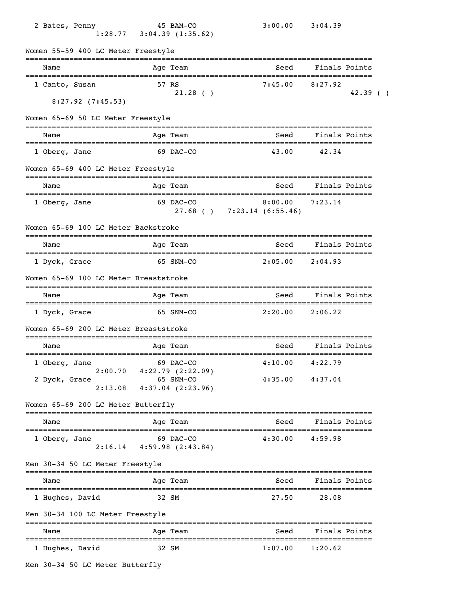| 2 Bates, Penny                                          |                          | 45 BAM-CO<br>$1:28.77$ $3:04.39$ $(1:35.62)$                          |                                 | 3:00.00             | 3:04.39                        |               |  |
|---------------------------------------------------------|--------------------------|-----------------------------------------------------------------------|---------------------------------|---------------------|--------------------------------|---------------|--|
| Women 55-59 400 LC Meter Freestyle                      |                          |                                                                       |                                 |                     |                                |               |  |
| Name                                                    | ======================== | Age Team                                                              |                                 | Seed                | Finals Points                  |               |  |
| 1 Canto, Susan                                          |                          | 57 RS<br>21.28()                                                      |                                 | 7:45.00             | 8:27.92                        | 42.39()       |  |
| $8:27.92$ (7:45.53)                                     |                          |                                                                       |                                 |                     |                                |               |  |
| Women 65-69 50 LC Meter Freestyle                       |                          |                                                                       |                                 |                     |                                |               |  |
| Name                                                    |                          | Age Team                                                              |                                 | Seed                |                                | Finals Points |  |
| 1 Oberg, Jane                                           |                          | 69 DAC-CO                                                             |                                 | 43.00               | 42.34                          |               |  |
| Women 65-69 400 LC Meter Freestyle                      |                          |                                                                       |                                 |                     |                                |               |  |
| Name<br>=====================================           |                          | Age Team                                                              |                                 | Seed                | Finals Points                  |               |  |
| 1 Oberg, Jane                                           |                          | 69 DAC-CO                                                             | $27.68$ ( ) $7:23.14$ (6:55.46) | 8:00.00             | 7:23.14                        |               |  |
| Women 65-69 100 LC Meter Backstroke                     |                          |                                                                       |                                 |                     |                                |               |  |
| Name                                                    |                          | Age Team                                                              |                                 | Seed                | Finals Points                  |               |  |
| 1 Dyck, Grace                                           |                          | 65 SNM-CO                                                             |                                 | $2:05.00$ $2:04.93$ |                                |               |  |
| Women 65-69 100 LC Meter Breaststroke                   |                          |                                                                       |                                 |                     |                                |               |  |
| Name                                                    |                          | Age Team                                                              |                                 | Seed                | Finals Points                  |               |  |
| 1 Dyck, Grace                                           |                          | 65 SNM-CO                                                             |                                 | 2:20.00             | 2:06.22                        |               |  |
| Women 65-69 200 LC Meter Breaststroke                   |                          |                                                                       |                                 |                     |                                |               |  |
| Name                                                    |                          | Age Team                                                              |                                 | Seed                |                                | Finals Points |  |
| 1 Oberg, Jane                                           |                          | 69 DAC-CO                                                             |                                 | $4:10.00$ $4:22.79$ |                                |               |  |
| 2 Dyck, Grace<br>2:13.08                                |                          | $2:00.70$ $4:22.79$ $(2:22.09)$<br>65 SNM-CO<br>$4:37.04$ $(2:23.96)$ |                                 | $4:35.00$ $4:37.04$ |                                |               |  |
| Women 65-69 200 LC Meter Butterfly                      |                          |                                                                       |                                 |                     |                                |               |  |
| ---------------<br>Name                                 |                          | ========================<br>Age Team                                  |                                 | Seed                |                                | Finals Points |  |
| 1 Oberg, Jane                                           | ----------------         | 69 DAC-CO<br>$2:16.14$ $4:59.98$ $(2:43.84)$                          |                                 | 4:30.00             | 4:59.98                        |               |  |
| Men 30-34 50 LC Meter Freestyle                         |                          |                                                                       |                                 |                     |                                |               |  |
| Name                                                    |                          | Age Team                                                              |                                 | Seed                |                                | Finals Points |  |
| 1 Hughes, David                                         |                          | 32 SM                                                                 |                                 | 27.50               | 28.08                          |               |  |
| Men 30-34 100 LC Meter Freestyle                        |                          |                                                                       |                                 |                     |                                |               |  |
| Name                                                    |                          | Age Team                                                              |                                 | Seed                | Finals Points                  |               |  |
| ====================================<br>1 Hughes, David |                          | 32 SM                                                                 | ======================          | 1:07.00             | ===================<br>1:20.62 |               |  |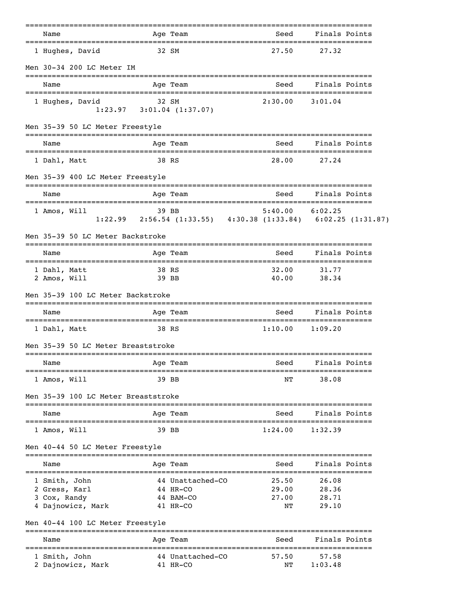|                                                                     |                | =======                                               |                                                                                      |                                  |  |
|---------------------------------------------------------------------|----------------|-------------------------------------------------------|--------------------------------------------------------------------------------------|----------------------------------|--|
| Name                                                                |                | Age Team                                              | Seed                                                                                 | Finals Points                    |  |
| 1 Hughes, David                                                     |                | 32 SM                                                 | 27.50                                                                                | 27.32                            |  |
| Men 30-34 200 LC Meter IM                                           |                |                                                       |                                                                                      |                                  |  |
| Name                                                                |                | Age Team                                              | Seed                                                                                 | Finals Points                    |  |
| 1 Hughes, David                                                     | 32 SM          | $1:23.97$ $3:01.04$ $(1:37.07)$                       | $2:30.00$ $3:01.04$                                                                  |                                  |  |
| Men 35-39 50 LC Meter Freestyle                                     |                |                                                       |                                                                                      |                                  |  |
| Name                                                                |                | Age Team                                              | Seed                                                                                 | Finals Points                    |  |
| 1 Dahl, Matt                                                        | 38 RS          |                                                       | 28.00                                                                                | 27.24                            |  |
| Men 35-39 400 LC Meter Freestyle                                    |                |                                                       | _______________________________                                                      |                                  |  |
| Name                                                                |                | Age Team                                              | Seed                                                                                 | Finals Points                    |  |
| 1 Amos, Will                                                        |                | 39 BB                                                 | $5:40.00$ $6:02.25$<br>1:22.99 2:56.54 (1:33.55) 4:30.38 (1:33.84) 6:02.25 (1:31.87) |                                  |  |
| Men 35-39 50 LC Meter Backstroke                                    |                |                                                       |                                                                                      |                                  |  |
| Name                                                                |                | Age Team                                              | Seed                                                                                 | Finals Points                    |  |
| 1 Dahl, Matt<br>2 Amos, Will                                        | 38 RS<br>39 BB |                                                       | 32.00<br>40.00                                                                       | 31.77<br>38.34                   |  |
| Men 35-39 100 LC Meter Backstroke                                   |                |                                                       |                                                                                      |                                  |  |
| Name                                                                |                | Age Team                                              | Seed                                                                                 | Finals Points                    |  |
| 1 Dahl, Matt                                                        | 38 RS          |                                                       | 1:10.00                                                                              | 1:09.20                          |  |
| Men 35-39 50 LC Meter Breaststroke                                  |                |                                                       |                                                                                      |                                  |  |
| Name                                                                |                | Age Team                                              | Seed                                                                                 | Finals Points                    |  |
| 1 Amos, Will                                                        |                | 39 BB                                                 | ΝT                                                                                   | 38.08                            |  |
| Men 35-39 100 LC Meter Breaststroke                                 |                |                                                       |                                                                                      |                                  |  |
| =====================<br>Name                                       |                | Age Team                                              | Seed                                                                                 | Finals Points                    |  |
| 1 Amos, Will                                                        |                | 39 BB                                                 | 1:24.00                                                                              | 1:32.39                          |  |
| Men 40-44 50 LC Meter Freestyle                                     |                |                                                       |                                                                                      |                                  |  |
| Name                                                                |                | Age Team                                              | Seed                                                                                 | Finals Points                    |  |
| 1 Smith, John<br>2 Gress, Karl<br>3 Cox, Randy<br>4 Dajnowicz, Mark |                | 44 Unattached-CO<br>44 HR-CO<br>44 BAM-CO<br>41 HR-CO | ======================================<br>25.50<br>29.00<br>27.00<br>NΤ              | 26.08<br>28.36<br>28.71<br>29.10 |  |
| Men 40-44 100 LC Meter Freestyle                                    |                |                                                       |                                                                                      |                                  |  |
| Name<br>---------------------                                       |                | Age Team                                              | Seed                                                                                 | Finals Points                    |  |
| 1 Smith, John<br>2 Dajnowicz, Mark                                  |                | 44 Unattached-CO<br>41 HR-CO                          | 57.50<br>NΤ                                                                          | 57.58<br>1:03.48                 |  |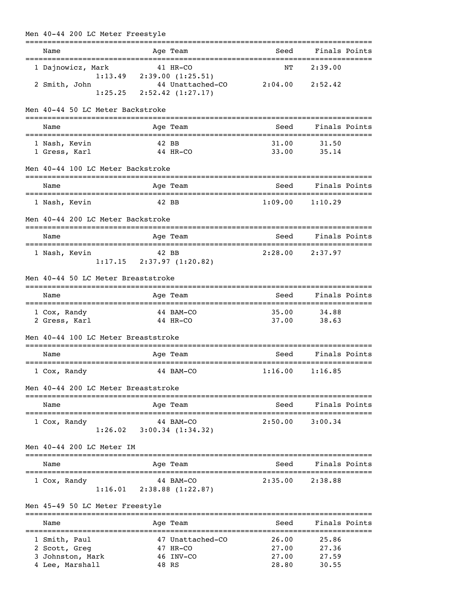| Men 40-44 200 LC Meter Freestyle    |                                              |                                 |                                     |  |
|-------------------------------------|----------------------------------------------|---------------------------------|-------------------------------------|--|
| Name                                | Age Team                                     | :======================<br>Seed | Finals Points                       |  |
| 1 Dajnowicz, Mark                   | 41 HR-CO                                     | ΝT                              | 2:39.00                             |  |
|                                     | $1:13.49$ $2:39.00$ $(1:25.51)$              |                                 |                                     |  |
| 2 Smith, John                       | 44 Unattached-CO                             | 2:04.00                         | 2:52.42                             |  |
| 1:25.25                             | 2:52.42(1:27.17)                             |                                 |                                     |  |
| Men 40-44 50 LC Meter Backstroke    |                                              |                                 |                                     |  |
| Name                                | Age Team                                     | Seed                            | Finals Points                       |  |
| 1 Nash, Kevin                       | 42 BB                                        | 31.00                           | 31.50                               |  |
| 1 Gress, Karl                       | 44 HR-CO                                     | 33.00                           | 35.14                               |  |
|                                     |                                              |                                 |                                     |  |
| Men 40-44 100 LC Meter Backstroke   |                                              |                                 |                                     |  |
| Name                                | Age Team                                     | Seed                            | Finals Points                       |  |
| 1 Nash, Kevin                       | 42 BB                                        | 1:09.00                         | 1:10.29                             |  |
| Men 40-44 200 LC Meter Backstroke   |                                              |                                 |                                     |  |
| Name                                | Age Team                                     | Seed                            | ------------------<br>Finals Points |  |
| =====================               |                                              |                                 |                                     |  |
| 1 Nash, Kevin                       | 42 BB                                        | 2:28.00                         | 2:37.97                             |  |
|                                     | $1:17.15$ $2:37.97$ $(1:20.82)$              |                                 |                                     |  |
|                                     |                                              |                                 |                                     |  |
| Men 40-44 50 LC Meter Breaststroke  |                                              |                                 |                                     |  |
| Name                                | Age Team                                     | Seed                            | Finals Points                       |  |
| 1 Cox, Randy                        | 44 BAM-CO                                    | 35.00                           | 34.88                               |  |
| 2 Gress, Karl                       | 44 HR-CO                                     | 37.00                           | 38.63                               |  |
|                                     |                                              |                                 |                                     |  |
| Men 40-44 100 LC Meter Breaststroke |                                              |                                 |                                     |  |
| Name                                | Age Team                                     | Seed                            | Finals Points                       |  |
| ==================================  |                                              |                                 |                                     |  |
| 1 Cox, Randy                        | 44 BAM-CO                                    | 1:16.00                         | 1:16.85                             |  |
| Men 40-44 200 LC Meter Breaststroke |                                              |                                 |                                     |  |
| Name                                | Age Team                                     | Seed                            | Finals Points                       |  |
| ===============================     | ----------------------                       |                                 | ---------------                     |  |
| 1 Cox, Randy                        | 44 BAM-CO<br>$1:26.02$ $3:00.34$ $(1:34.32)$ | 2:50.00                         | 3:00.34                             |  |
|                                     |                                              |                                 |                                     |  |
| Men 40-44 200 LC Meter IM           |                                              |                                 |                                     |  |
| Name                                | Age Team                                     | Seed                            | Finals Points                       |  |
|                                     |                                              |                                 |                                     |  |
| 1 Cox, Randy                        | 44 BAM-CO                                    | 2:35.00                         | 2:38.88                             |  |
|                                     | $1:16.01$ $2:38.88$ $(1:22.87)$              |                                 |                                     |  |
| Men 45-49 50 LC Meter Freestyle     |                                              |                                 |                                     |  |
|                                     |                                              |                                 |                                     |  |
| Name                                | Age Team                                     | Seed                            | Finals Points                       |  |
| 1 Smith, Paul                       | 47 Unattached-CO                             | 26.00                           | 25.86                               |  |
| 2 Scott, Greg                       | 47 HR-CO                                     | 27.00                           | 27.36                               |  |
| 3 Johnston, Mark                    | 46 INV-CO                                    | 27.00                           | 27.59                               |  |
| 4 Lee, Marshall                     | 48 RS                                        | 28.80                           | 30.55                               |  |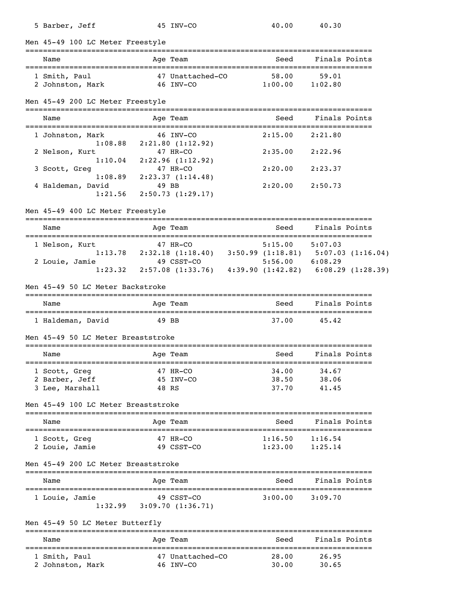| 5 Barber, Jeff                          |          | 45 INV-CO                                                                                                                                                              | 40.00                                   | 40.30               |  |
|-----------------------------------------|----------|------------------------------------------------------------------------------------------------------------------------------------------------------------------------|-----------------------------------------|---------------------|--|
| Men 45-49 100 LC Meter Freestyle        |          |                                                                                                                                                                        |                                         |                     |  |
| Name                                    |          | Age Team                                                                                                                                                               | Seed                                    | Finals Points       |  |
| 1 Smith, Paul                           |          | 47 Unattached-CO                                                                                                                                                       | 58.00                                   | 59.01               |  |
| 2 Johnston, Mark 46 INV-CO              |          |                                                                                                                                                                        | 1:00.00                                 | 1:02.80             |  |
| Men 45-49 200 LC Meter Freestyle        |          |                                                                                                                                                                        |                                         |                     |  |
| Name                                    |          | Age Team                                                                                                                                                               | Seed                                    | Finals Points       |  |
| 1 Johnston, Mark                        |          | 46 INV-CO<br>$1:08.88$ $2:21.80$ $(1:12.92)$                                                                                                                           | 2:15.00                                 | 2:21.80             |  |
| 2 Nelson, Kurt                          |          | 47 HR-CO                                                                                                                                                               | 2:35.00                                 | 2:22.96             |  |
| 1:10.04<br>3 Scott, Greg                |          | 2:22.96(1:12.92)<br>47 HR-CO                                                                                                                                           | $2:20.00$ $2:23.37$                     |                     |  |
| 1:08.89<br>4 Haldeman, David<br>1:21.56 |          | 2:23.37(1:14.48)<br>49 BB<br>2:50.73(1:29.17)                                                                                                                          | 2:20.00                                 | 2:50.73             |  |
| Men 45-49 400 LC Meter Freestyle        |          |                                                                                                                                                                        |                                         |                     |  |
| Name<br>---------------------           |          | Age Team<br>==============================                                                                                                                             | Seed<br>=============================== | Finals Points       |  |
| 1 Nelson, Kurt                          |          |                                                                                                                                                                        |                                         |                     |  |
| 2 Louie, Jamie                          |          | $2:32.18$ (1:18.40) 3:50.99 (1:18.81) 5:07.03 (1:16.04)<br>$49$ CSST-CO 5:56.00 6:08.29<br>49 CSST-CO<br>1:23.32 2:57.08 (1:33.76) 4:39.90 (1:42.82) 6:08.29 (1:28.39) |                                         |                     |  |
| Men 45-49 50 LC Meter Backstroke        |          |                                                                                                                                                                        |                                         |                     |  |
| Name                                    |          | Age Team                                                                                                                                                               | Seed                                    | Finals Points       |  |
| 1 Haldeman, David                       | 49 BB    |                                                                                                                                                                        | 37.00                                   | 45.42               |  |
| Men 45-49 50 LC Meter Breaststroke      |          |                                                                                                                                                                        |                                         |                     |  |
| Name                                    |          | Age Team                                                                                                                                                               | Seed                                    | Finals Points       |  |
| 1 Scott, Greg                           | 47 HR-CO |                                                                                                                                                                        | 34.00                                   | 34.67               |  |
| 2 Barber, Jeff                          |          | 45 INV-CO                                                                                                                                                              | 38.50<br>37.70                          | 38.06               |  |
| 3 Lee, Marshall                         | 48 RS    |                                                                                                                                                                        |                                         | 41.45               |  |
| Men 45-49 100 LC Meter Breaststroke     |          |                                                                                                                                                                        |                                         | ------------------- |  |
| Name                                    |          | Age Team                                                                                                                                                               | Seed                                    | Finals Points       |  |
| 1 Scott, Greg<br>2 Louie, Jamie         | 47 HR-CO | 49 CSST-CO                                                                                                                                                             | 1:16.50<br>1:23.00                      | 1:16.54<br>1:25.14  |  |
| Men 45-49 200 LC Meter Breaststroke     |          |                                                                                                                                                                        |                                         |                     |  |
| Name                                    |          | Age Team                                                                                                                                                               | Seed                                    | Finals Points       |  |
| 1 Louie, Jamie                          |          | 49 CSST-CO<br>$1:32.99$ $3:09.70$ $(1:36.71)$                                                                                                                          | $3:00.00$ $3:09.70$                     |                     |  |
| Men 45-49 50 LC Meter Butterfly         |          |                                                                                                                                                                        |                                         |                     |  |
| Name                                    |          | Age Team                                                                                                                                                               | Seed                                    | Finals Points       |  |
| 1 Smith, Paul                           |          | 47 Unattached-CO                                                                                                                                                       | 28.00<br>30.00                          | 26.95<br>30.65      |  |
| 2 Johnston, Mark 46 INV-CO              |          |                                                                                                                                                                        |                                         |                     |  |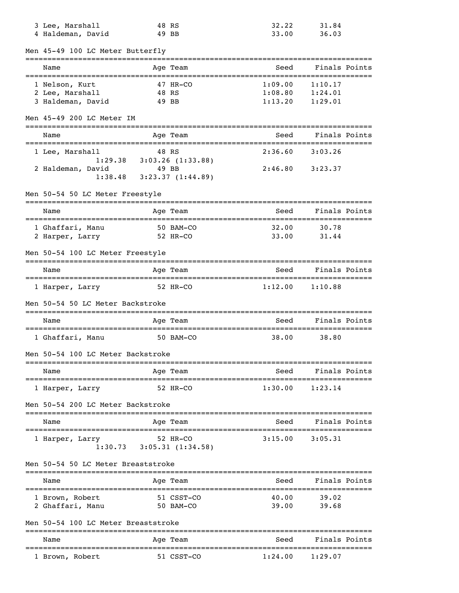| 3 Lee, Marshall                               | 48 RS                                       | 32.22   | 31.84                               |
|-----------------------------------------------|---------------------------------------------|---------|-------------------------------------|
| 4 Haldeman, David                             | 49 BB                                       | 33.00   | 36.03                               |
| Men 45-49 100 LC Meter Butterfly              |                                             |         |                                     |
| -------------------------------------<br>Name | Age Team                                    | Seed    | Finals Points                       |
| 1 Nelson, Kurt                                | 47 HR-CO                                    | 1:09.00 | 1:10.17                             |
| 2 Lee, Marshall                               | 48 RS                                       | 1:08.80 | 1:24.01                             |
| 3 Haldeman, David                             | 49 BB                                       | 1:13.20 | 1:29.01                             |
| Men 45-49 200 LC Meter IM                     |                                             |         |                                     |
| Name                                          | Age Team                                    | Seed    | Finals Points                       |
|                                               |                                             |         |                                     |
| 1 Lee, Marshall                               | 48 RS                                       | 2:36.60 | 3:03.26                             |
|                                               | $1:29.38$ $3:03.26$ $(1:33.88)$             |         |                                     |
| 2 Haldeman, David                             | 49 BB                                       | 2:46.80 | 3:23.37                             |
| 1:38.48                                       | 3:23.37(1:44.89)                            |         |                                     |
| Men 50-54 50 LC Meter Freestyle               |                                             |         |                                     |
| Name                                          | Age Team                                    | Seed    | Finals Points                       |
| 1 Ghaffari, Manu                              | 50 BAM-CO                                   | 32.00   | 30.78                               |
| 2 Harper, Larry                               | 52 HR-CO                                    | 33.00   | 31.44                               |
| Men 50-54 100 LC Meter Freestyle              |                                             |         |                                     |
|                                               |                                             |         |                                     |
| Name                                          | Age Team                                    | Seed    | Finals Points                       |
| 1 Harper, Larry                               | 52 HR-CO                                    | 1:12.00 | 1:10.88                             |
| Men 50-54 50 LC Meter Backstroke              |                                             |         |                                     |
| Name                                          | Age Team                                    | Seed    | Finals Points                       |
| 1 Ghaffari, Manu                              | 50 BAM-CO                                   | 38.00   | 38.80                               |
| Men 50-54 100 LC Meter Backstroke             |                                             |         |                                     |
| Name                                          | Age Team                                    | Seed    | Finals Points                       |
| 1 Harper, Larry                               | 52 HR-CO                                    | 1:30.00 | 1:23.14                             |
| Men 50-54 200 LC Meter Backstroke             |                                             |         |                                     |
| Name                                          | Age Team                                    | Seed    | Finals Points                       |
|                                               |                                             |         |                                     |
| 1 Harper, Larry                               | 52 HR-CO<br>$1:30.73$ $3:05.31$ $(1:34.58)$ | 3:15.00 | 3:05.31                             |
| Men 50-54 50 LC Meter Breaststroke            |                                             |         |                                     |
|                                               |                                             | Seed    | Finals Points                       |
| Name                                          | Age Team                                    |         |                                     |
| 1 Brown, Robert                               | 51 CSST-CO                                  | 40.00   | 39.02                               |
| 2 Ghaffari, Manu                              | 50 BAM-CO                                   | 39.00   | 39.68                               |
| Men 50-54 100 LC Meter Breaststroke           |                                             |         |                                     |
|                                               | Age Team                                    | Seed    | Finals Points                       |
| Name                                          |                                             |         |                                     |
| 1 Brown, Robert                               | 51 CSST-CO                                  | 1:24.00 | $1\boldsymbol{:}29\boldsymbol{.}07$ |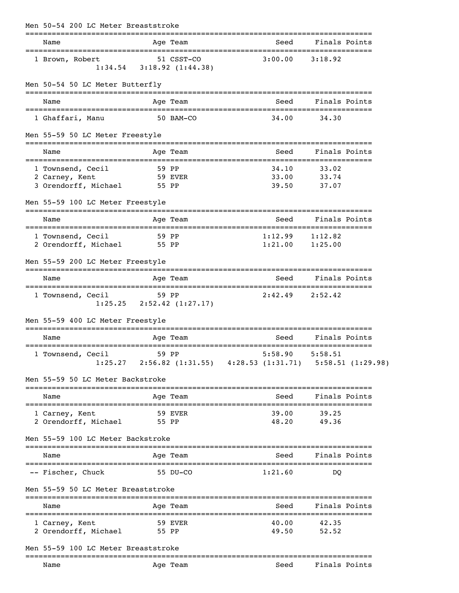| Men 50-54 200 LC Meter Breaststroke          |                  |                                               |                                                                  |                                 |               |
|----------------------------------------------|------------------|-----------------------------------------------|------------------------------------------------------------------|---------------------------------|---------------|
| Name<br>======================               |                  | Age Team                                      | Seed                                                             |                                 | Finals Points |
| 1 Brown, Robert                              |                  | 51 CSST-CO<br>$1:34.54$ $3:18.92$ $(1:44.38)$ | 3:00.00                                                          | 3:18.92                         |               |
| Men 50-54 50 LC Meter Butterfly              |                  |                                               |                                                                  |                                 |               |
| Name                                         |                  | Age Team                                      | Seed                                                             |                                 | Finals Points |
| 1 Ghaffari, Manu                             | 50 BAM-CO        |                                               | 34.00                                                            | 34.30                           |               |
| Men 55-59 50 LC Meter Freestyle              |                  |                                               |                                                                  |                                 |               |
| Name<br>=================================    |                  | Age Team                                      | Seed<br>====================                                     | Finals Points<br>______________ |               |
| 1 Townsend, Cecil                            | 59 PP<br>59 EVER |                                               | 34.10<br>33.00                                                   | 33.02<br>33.74                  |               |
| 2 Carney, Kent<br>3 Orendorff, Michael 55 PP |                  |                                               | 39.50                                                            | 37.07                           |               |
| Men 55-59 100 LC Meter Freestyle             |                  |                                               |                                                                  |                                 |               |
| Name                                         |                  | Age Team                                      | Seed                                                             | Finals Points                   |               |
| 1 Townsend, Cecil                            | 59 PP            |                                               | 1:12.99                                                          | 1:12.82                         |               |
| 2 Orendorff, Michael                         | 55 PP            |                                               | $1:21.00$ $1:25.00$                                              |                                 |               |
| Men 55-59 200 LC Meter Freestyle             |                  |                                               |                                                                  |                                 |               |
| Name                                         |                  | Age Team                                      |                                                                  | Seed Finals Points              |               |
| 1 Townsend, Cecil                            |                  | 59 PP<br>$1:25.25$ $2:52.42$ $(1:27.17)$      | 2:42.49                                                          | 2:52.42                         |               |
| Men 55-59 400 LC Meter Freestyle             |                  |                                               |                                                                  |                                 |               |
| Name                                         |                  | Age Team<br>========================          | Seed<br>===============================                          |                                 | Finals Points |
| 1 Townsend, Cecil<br>1:25.27                 | 59 PP            |                                               | 5:58.90<br>2:56.82 (1:31.55) 4:28.53 (1:31.71) 5:58.51 (1:29.98) | 5:58.51                         |               |
| Men 55-59 50 LC Meter Backstroke             |                  |                                               |                                                                  |                                 |               |
| Name<br>----------------                     |                  | Age Team                                      | Seed                                                             |                                 | Finals Points |
| 1 Carney, Kent<br>2 Orendorff, Michael       | 55 PP            | 59 EVER                                       | 39.00<br>48.20                                                   | 39.25<br>49.36                  |               |
| Men 55-59 100 LC Meter Backstroke            |                  |                                               |                                                                  |                                 |               |
| Name                                         |                  | Age Team                                      | Seed                                                             |                                 | Finals Points |
| -- Fischer, Chuck                            |                  | 55 DU-CO                                      | 1:21.60                                                          | DO                              |               |
| Men 55-59 50 LC Meter Breaststroke           |                  |                                               |                                                                  |                                 |               |
| Name                                         |                  | Age Team                                      | Seed                                                             |                                 | Finals Points |
| 1 Carney, Kent<br>2 Orendorff, Michael       |                  | 59 EVER<br>55 PP                              | 40.00<br>49.50                                                   | 42.35<br>52.52                  |               |
| Men 55-59 100 LC Meter Breaststroke          |                  |                                               |                                                                  |                                 |               |
| -------------------                          |                  |                                               |                                                                  |                                 |               |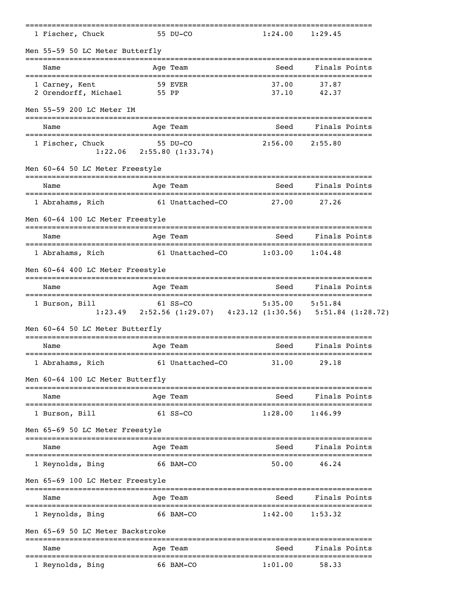|        | 1 Fischer, Chuck                                                   |            | 55 DU-CO                                                                    | 1:24.00             | 1:29.45        |
|--------|--------------------------------------------------------------------|------------|-----------------------------------------------------------------------------|---------------------|----------------|
|        | Men 55-59 50 LC Meter Butterfly                                    |            |                                                                             |                     |                |
|        | Name                                                               |            | Age Team                                                                    | Seed                | Finals Points  |
|        | 1 Carney, Kent<br>2 Orendorff, Michael 55 PP                       |            | 59 EVER                                                                     | 37.00<br>37.10      | 37.87<br>42.37 |
|        | Men 55-59 200 LC Meter IM                                          |            |                                                                             |                     |                |
|        | Name                                                               |            | Age Team                                                                    | Seed                | Finals Points  |
|        | 1 Fischer, Chuck                                                   |            | 55 DU-CO<br>$1:22.06$ $2:55.80$ $(1:33.74)$                                 | 2:56.00             | 2:55.80        |
|        | Men 60-64 50 LC Meter Freestyle                                    |            |                                                                             |                     |                |
|        | Name                                                               | ---------- | Age Team                                                                    | Seed                | Finals Points  |
|        | 1 Abrahams, Rich                                                   |            | 61 Unattached-CO                                                            | 27.00               | 27.26          |
|        | Men 60-64 100 LC Meter Freestyle                                   |            |                                                                             |                     |                |
|        | Name                                                               |            | Age Team                                                                    | Seed                | Finals Points  |
|        | 1 Abrahams, Rich                                                   |            | 61 Unattached-CO                                                            | 1:03.00             | 1:04.48        |
|        | Men 60-64 400 LC Meter Freestyle                                   |            |                                                                             |                     |                |
|        | Name                                                               |            | Age Team                                                                    | Seed                | Finals Points  |
|        | =====================================<br>1 Burson, Bill            |            | $61$ SS-CO<br>1:23.49 2:52.56 (1:29.07) 4:23.12 (1:30.56) 5:51.84 (1:28.72) | $5:35.00$ $5:51.84$ |                |
|        | Men 60-64 50 LC Meter Butterfly                                    |            |                                                                             |                     |                |
|        | Name                                                               |            | Age Team                                                                    | Seed                | Finals Points  |
|        | 1 Abrahams, Rich                                                   |            | 61 Unattached-CO                                                            | 31.00               | 29.18          |
|        | Men 60-64 100 LC Meter Butterfly<br>============================== |            |                                                                             |                     |                |
|        | Name<br>--------------------                                       |            | Age Team                                                                    | Seed                | Finals Points  |
|        | 1 Burson, Bill                                                     |            | $61$ SS-CO                                                                  | 1:28.00             | 1:46.99        |
| ====== | Men 65-69 50 LC Meter Freestyle                                    |            |                                                                             |                     |                |
|        | Name                                                               |            | Age Team                                                                    | Seed                | Finals Points  |
|        | 1 Reynolds, Bing                                                   |            | 66 BAM-CO                                                                   | 50.00               | 46.24          |
|        | Men 65-69 100 LC Meter Freestyle                                   |            |                                                                             |                     |                |
|        | Name                                                               |            | Age Team                                                                    | Seed                | Finals Points  |
|        | 1 Reynolds, Bing                                                   |            | 66 BAM-CO                                                                   | 1:42.00             | 1:53.32        |
|        | Men 65-69 50 LC Meter Backstroke                                   |            |                                                                             |                     |                |
|        | Name                                                               |            | ------------<br>Age Team                                                    | Seed                | Finals Points  |
|        | 1 Reynolds, Bing                                                   |            | 66 BAM-CO                                                                   | 1:01.00             | 58.33          |